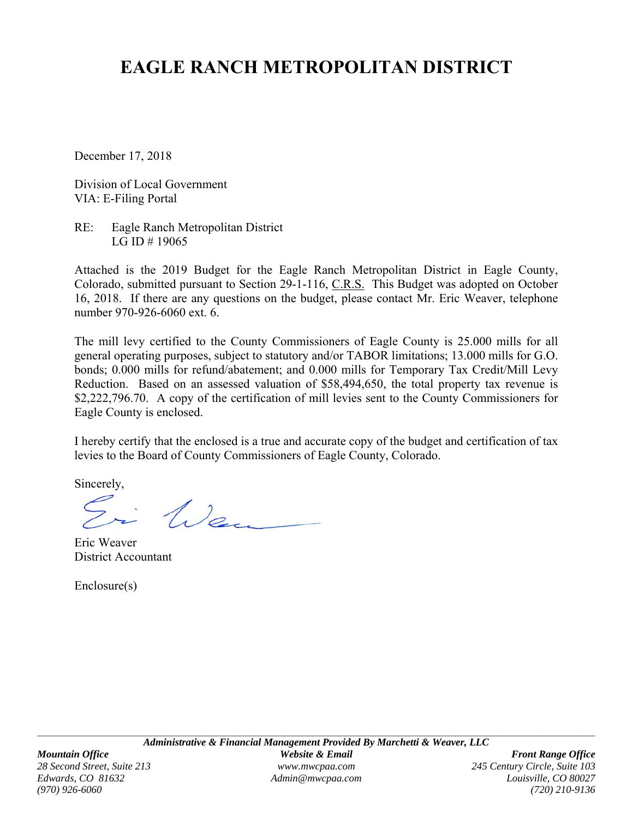# **EAGLE RANCH METROPOLITAN DISTRICT**

December 17, 2018

Division of Local Government VIA: E-Filing Portal

RE: Eagle Ranch Metropolitan District LG ID # 19065

Attached is the 2019 Budget for the Eagle Ranch Metropolitan District in Eagle County, Colorado, submitted pursuant to Section 29-1-116, C.R.S. This Budget was adopted on October 16, 2018. If there are any questions on the budget, please contact Mr. Eric Weaver, telephone number 970-926-6060 ext. 6.

The mill levy certified to the County Commissioners of Eagle County is 25.000 mills for all general operating purposes, subject to statutory and/or TABOR limitations; 13.000 mills for G.O. bonds; 0.000 mills for refund/abatement; and 0.000 mills for Temporary Tax Credit/Mill Levy Reduction. Based on an assessed valuation of \$58,494,650, the total property tax revenue is \$2,222,796.70. A copy of the certification of mill levies sent to the County Commissioners for Eagle County is enclosed.

I hereby certify that the enclosed is a true and accurate copy of the budget and certification of tax levies to the Board of County Commissioners of Eagle County, Colorado.

Sincerely,

i Wen

Eric Weaver District Accountant

Enclosure(s)

*Edwards, CO 81632 Admin@mwcpaa.com Louisville, CO 80027 (970) 926-6060 (720) 210-9136*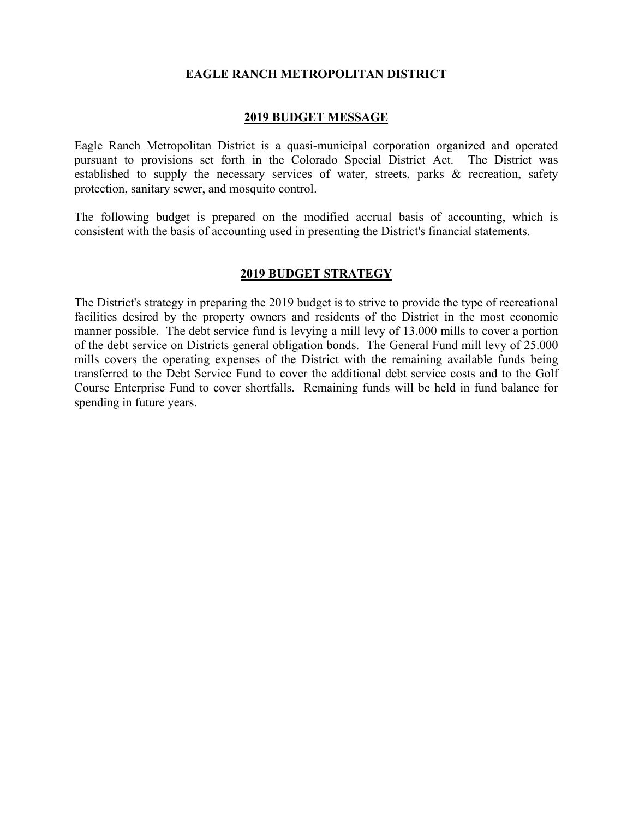### **EAGLE RANCH METROPOLITAN DISTRICT**

### **2019 BUDGET MESSAGE**

Eagle Ranch Metropolitan District is a quasi-municipal corporation organized and operated pursuant to provisions set forth in the Colorado Special District Act. The District was established to supply the necessary services of water, streets, parks & recreation, safety protection, sanitary sewer, and mosquito control.

The following budget is prepared on the modified accrual basis of accounting, which is consistent with the basis of accounting used in presenting the District's financial statements.

### **2019 BUDGET STRATEGY**

The District's strategy in preparing the 2019 budget is to strive to provide the type of recreational facilities desired by the property owners and residents of the District in the most economic manner possible. The debt service fund is levying a mill levy of 13.000 mills to cover a portion of the debt service on Districts general obligation bonds. The General Fund mill levy of 25.000 mills covers the operating expenses of the District with the remaining available funds being transferred to the Debt Service Fund to cover the additional debt service costs and to the Golf Course Enterprise Fund to cover shortfalls. Remaining funds will be held in fund balance for spending in future years.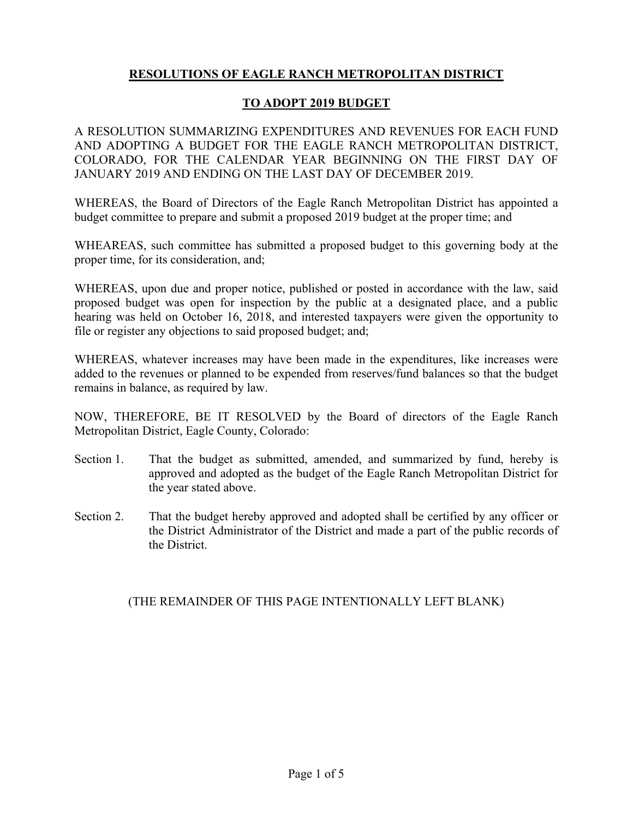# **RESOLUTIONS OF EAGLE RANCH METROPOLITAN DISTRICT**

## **TO ADOPT 2019 BUDGET**

A RESOLUTION SUMMARIZING EXPENDITURES AND REVENUES FOR EACH FUND AND ADOPTING A BUDGET FOR THE EAGLE RANCH METROPOLITAN DISTRICT, COLORADO, FOR THE CALENDAR YEAR BEGINNING ON THE FIRST DAY OF JANUARY 2019 AND ENDING ON THE LAST DAY OF DECEMBER 2019.

WHEREAS, the Board of Directors of the Eagle Ranch Metropolitan District has appointed a budget committee to prepare and submit a proposed 2019 budget at the proper time; and

WHEAREAS, such committee has submitted a proposed budget to this governing body at the proper time, for its consideration, and;

WHEREAS, upon due and proper notice, published or posted in accordance with the law, said proposed budget was open for inspection by the public at a designated place, and a public hearing was held on October 16, 2018, and interested taxpayers were given the opportunity to file or register any objections to said proposed budget; and;

WHEREAS, whatever increases may have been made in the expenditures, like increases were added to the revenues or planned to be expended from reserves/fund balances so that the budget remains in balance, as required by law.

NOW, THEREFORE, BE IT RESOLVED by the Board of directors of the Eagle Ranch Metropolitan District, Eagle County, Colorado:

- Section 1. That the budget as submitted, amended, and summarized by fund, hereby is approved and adopted as the budget of the Eagle Ranch Metropolitan District for the year stated above.
- Section 2. That the budget hereby approved and adopted shall be certified by any officer or the District Administrator of the District and made a part of the public records of the District.

## (THE REMAINDER OF THIS PAGE INTENTIONALLY LEFT BLANK)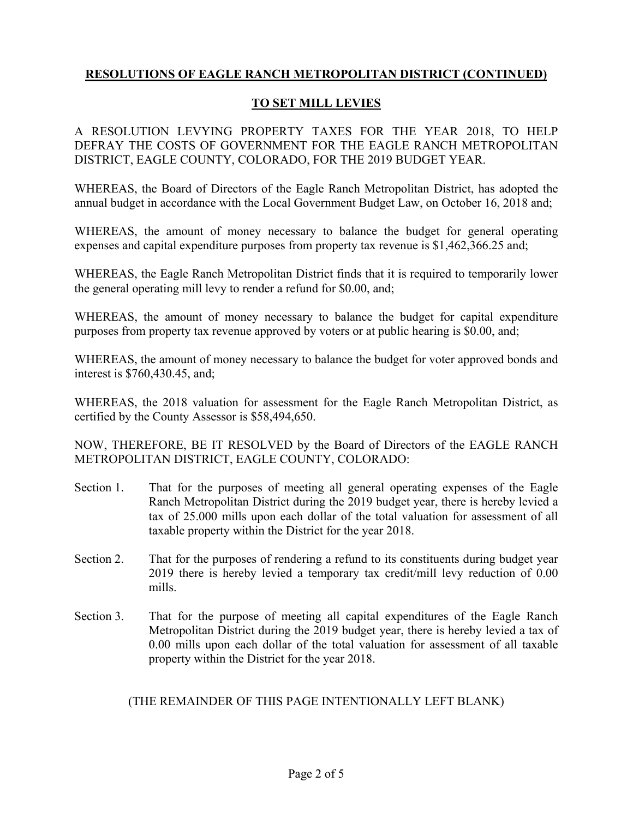## **TO SET MILL LEVIES**

A RESOLUTION LEVYING PROPERTY TAXES FOR THE YEAR 2018, TO HELP DEFRAY THE COSTS OF GOVERNMENT FOR THE EAGLE RANCH METROPOLITAN DISTRICT, EAGLE COUNTY, COLORADO, FOR THE 2019 BUDGET YEAR.

WHEREAS, the Board of Directors of the Eagle Ranch Metropolitan District, has adopted the annual budget in accordance with the Local Government Budget Law, on October 16, 2018 and;

WHEREAS, the amount of money necessary to balance the budget for general operating expenses and capital expenditure purposes from property tax revenue is \$1,462,366.25 and;

WHEREAS, the Eagle Ranch Metropolitan District finds that it is required to temporarily lower the general operating mill levy to render a refund for \$0.00, and;

WHEREAS, the amount of money necessary to balance the budget for capital expenditure purposes from property tax revenue approved by voters or at public hearing is \$0.00, and;

WHEREAS, the amount of money necessary to balance the budget for voter approved bonds and interest is \$760,430.45, and;

WHEREAS, the 2018 valuation for assessment for the Eagle Ranch Metropolitan District, as certified by the County Assessor is \$58,494,650.

NOW, THEREFORE, BE IT RESOLVED by the Board of Directors of the EAGLE RANCH METROPOLITAN DISTRICT, EAGLE COUNTY, COLORADO:

- Section 1. That for the purposes of meeting all general operating expenses of the Eagle Ranch Metropolitan District during the 2019 budget year, there is hereby levied a tax of 25.000 mills upon each dollar of the total valuation for assessment of all taxable property within the District for the year 2018.
- Section 2. That for the purposes of rendering a refund to its constituents during budget year 2019 there is hereby levied a temporary tax credit/mill levy reduction of 0.00 mills.
- Section 3. That for the purpose of meeting all capital expenditures of the Eagle Ranch Metropolitan District during the 2019 budget year, there is hereby levied a tax of 0.00 mills upon each dollar of the total valuation for assessment of all taxable property within the District for the year 2018.

(THE REMAINDER OF THIS PAGE INTENTIONALLY LEFT BLANK)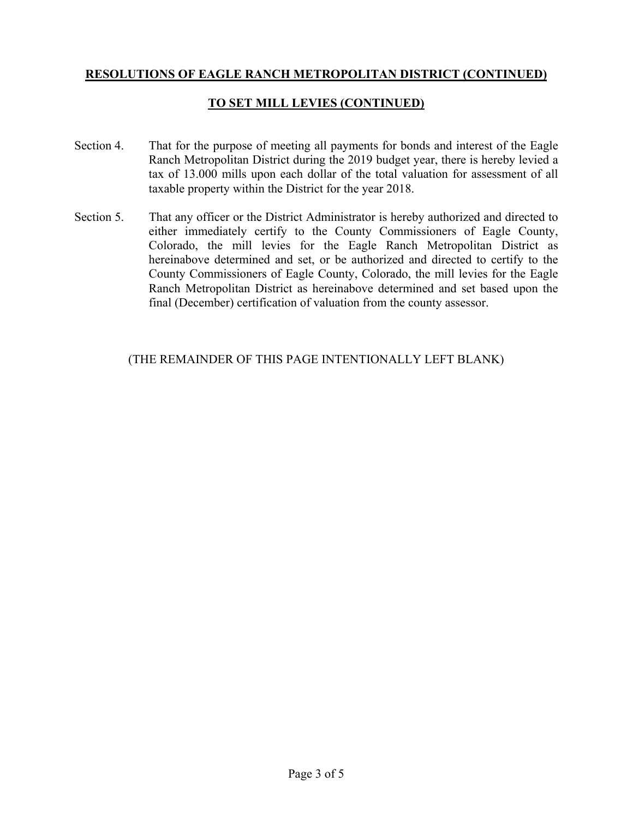## **TO SET MILL LEVIES (CONTINUED)**

- Section 4. That for the purpose of meeting all payments for bonds and interest of the Eagle Ranch Metropolitan District during the 2019 budget year, there is hereby levied a tax of 13.000 mills upon each dollar of the total valuation for assessment of all taxable property within the District for the year 2018.
- Section 5. That any officer or the District Administrator is hereby authorized and directed to either immediately certify to the County Commissioners of Eagle County, Colorado, the mill levies for the Eagle Ranch Metropolitan District as hereinabove determined and set, or be authorized and directed to certify to the County Commissioners of Eagle County, Colorado, the mill levies for the Eagle Ranch Metropolitan District as hereinabove determined and set based upon the final (December) certification of valuation from the county assessor.

## (THE REMAINDER OF THIS PAGE INTENTIONALLY LEFT BLANK)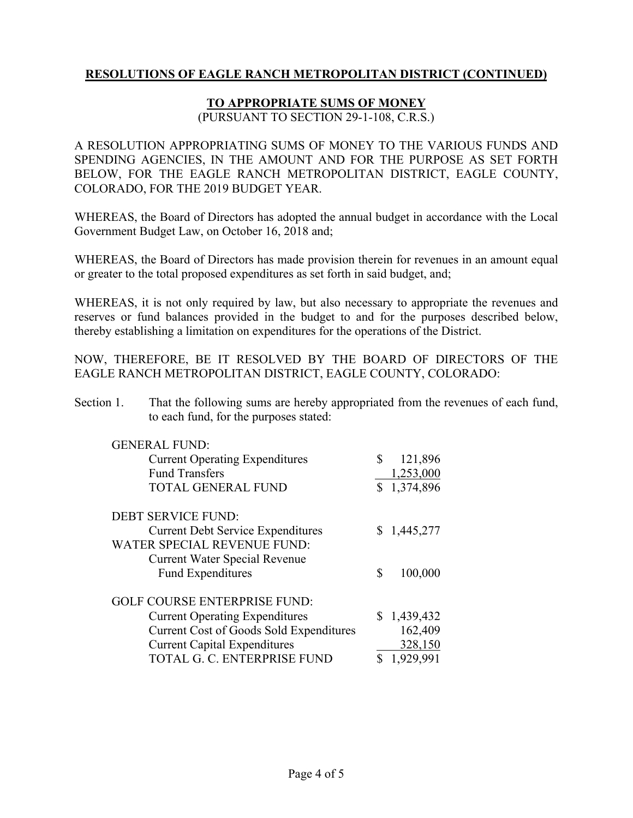## **TO APPROPRIATE SUMS OF MONEY**

(PURSUANT TO SECTION 29-1-108, C.R.S.)

A RESOLUTION APPROPRIATING SUMS OF MONEY TO THE VARIOUS FUNDS AND SPENDING AGENCIES, IN THE AMOUNT AND FOR THE PURPOSE AS SET FORTH BELOW, FOR THE EAGLE RANCH METROPOLITAN DISTRICT, EAGLE COUNTY, COLORADO, FOR THE 2019 BUDGET YEAR.

WHEREAS, the Board of Directors has adopted the annual budget in accordance with the Local Government Budget Law, on October 16, 2018 and;

WHEREAS, the Board of Directors has made provision therein for revenues in an amount equal or greater to the total proposed expenditures as set forth in said budget, and;

WHEREAS, it is not only required by law, but also necessary to appropriate the revenues and reserves or fund balances provided in the budget to and for the purposes described below, thereby establishing a limitation on expenditures for the operations of the District.

NOW, THEREFORE, BE IT RESOLVED BY THE BOARD OF DIRECTORS OF THE EAGLE RANCH METROPOLITAN DISTRICT, EAGLE COUNTY, COLORADO:

Section 1. That the following sums are hereby appropriated from the revenues of each fund, to each fund, for the purposes stated:

| <b>GENERAL FUND:</b><br><b>Current Operating Expenditures</b><br><b>Fund Transfers</b> | \$<br>121,896<br>1,253,000 |
|----------------------------------------------------------------------------------------|----------------------------|
| <b>TOTAL GENERAL FUND</b>                                                              | \$1,374,896                |
| <b>DEBT SERVICE FUND:</b>                                                              |                            |
| <b>Current Debt Service Expenditures</b>                                               | \$1,445,277                |
| <b>WATER SPECIAL REVENUE FUND:</b><br><b>Current Water Special Revenue</b>             |                            |
| <b>Fund Expenditures</b>                                                               | \$<br>100,000              |
|                                                                                        |                            |
| <b>GOLF COURSE ENTERPRISE FUND:</b>                                                    |                            |
| <b>Current Operating Expenditures</b>                                                  | \$1,439,432                |
| <b>Current Cost of Goods Sold Expenditures</b>                                         | 162,409                    |
| <b>Current Capital Expenditures</b>                                                    | 328,150                    |
| TOTAL G. C. ENTERPRISE FUND                                                            | 1,929,991                  |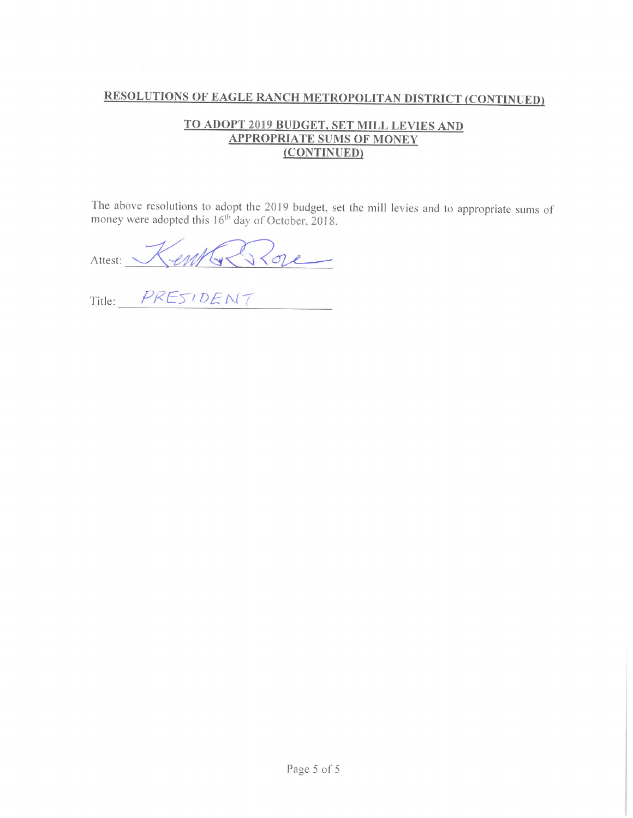## TO ADOPT 2019 BUDGET, SET MILL LEVIES AND **APPROPRIATE SUMS OF MONEY** (CONTINUED)

The above resolutions to adopt the 2019 budget, set the mill levies and to appropriate sums of money were adopted this  $16<sup>th</sup>$  day of October, 2018.

Attest: Kentle Elge

Title: PRESIDENT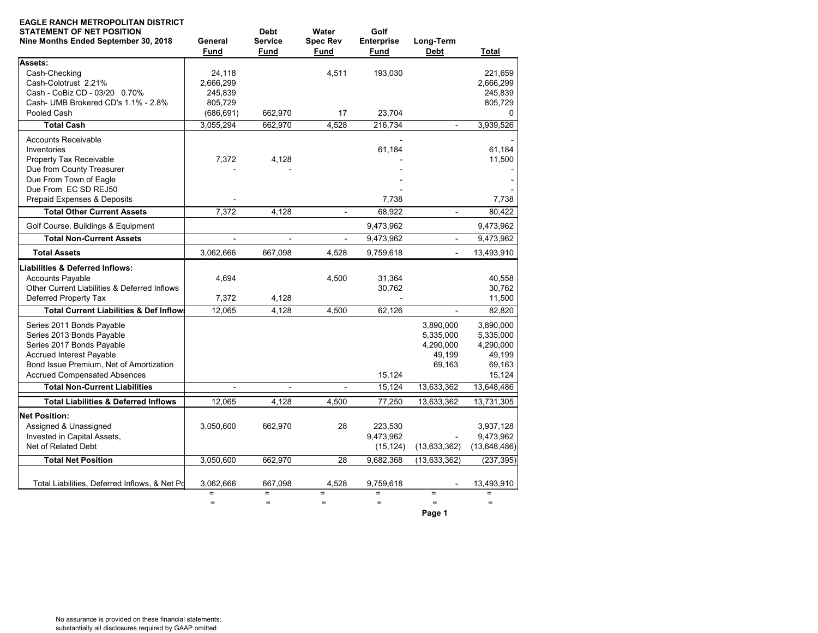| <b>EAGLE RANCH METROPOLITAN DISTRICT</b><br><b>STATEMENT OF NET POSITION</b><br>Nine Months Ended September 30, 2018 | General<br><b>Fund</b>   | <b>Debt</b><br><b>Service</b><br>Fund | Water<br><b>Spec Rev</b><br><b>Fund</b> | Golf<br><b>Enterprise</b><br>Fund | Long-Term<br><b>Debt</b> | <b>Total</b> |
|----------------------------------------------------------------------------------------------------------------------|--------------------------|---------------------------------------|-----------------------------------------|-----------------------------------|--------------------------|--------------|
| Assets:                                                                                                              |                          |                                       |                                         |                                   |                          |              |
| Cash-Checking                                                                                                        | 24,118                   |                                       | 4,511                                   | 193,030                           |                          | 221,659      |
| Cash-Colotrust 2.21%                                                                                                 | 2,666,299                |                                       |                                         |                                   |                          | 2,666,299    |
| Cash - CoBiz CD - 03/20 0.70%                                                                                        | 245,839                  |                                       |                                         |                                   |                          | 245,839      |
| Cash- UMB Brokered CD's 1.1% - 2.8%                                                                                  | 805,729                  |                                       |                                         |                                   |                          | 805,729      |
| Pooled Cash                                                                                                          | (686, 691)               | 662,970                               | 17                                      | 23.704                            |                          | 0            |
| <b>Total Cash</b>                                                                                                    | 3,055,294                | 662,970                               | 4,528                                   | 216,734                           | $\overline{\phantom{a}}$ | 3,939,526    |
| <b>Accounts Receivable</b>                                                                                           |                          |                                       |                                         |                                   |                          |              |
| Inventories                                                                                                          |                          |                                       |                                         | 61,184                            |                          | 61,184       |
| Property Tax Receivable                                                                                              | 7,372                    | 4,128                                 |                                         |                                   |                          | 11,500       |
| Due from County Treasurer                                                                                            |                          |                                       |                                         |                                   |                          |              |
| Due From Town of Eagle                                                                                               |                          |                                       |                                         |                                   |                          |              |
| Due From EC SD REJ50                                                                                                 |                          |                                       |                                         |                                   |                          |              |
| Prepaid Expenses & Deposits                                                                                          |                          |                                       |                                         | 7,738                             |                          | 7,738        |
| <b>Total Other Current Assets</b>                                                                                    | 7,372                    | 4,128                                 | $\blacksquare$                          | 68,922                            | $\blacksquare$           | 80,422       |
| Golf Course, Buildings & Equipment                                                                                   |                          |                                       |                                         | 9,473,962                         |                          | 9,473,962    |
| <b>Total Non-Current Assets</b>                                                                                      | $\overline{\phantom{a}}$ | $\blacksquare$                        | $\overline{\phantom{a}}$                | 9,473,962                         | $\blacksquare$           | 9,473,962    |
| <b>Total Assets</b>                                                                                                  | 3,062,666                | 667,098                               | 4,528                                   | 9,759,618                         | $\overline{\phantom{a}}$ | 13,493,910   |
| <b>Liabilities &amp; Deferred Inflows:</b>                                                                           |                          |                                       |                                         |                                   |                          |              |
| <b>Accounts Payable</b>                                                                                              | 4,694                    |                                       | 4,500                                   | 31,364                            |                          | 40,558       |
| Other Current Liabilities & Deferred Inflows                                                                         |                          |                                       |                                         | 30,762                            |                          | 30,762       |
| Deferred Property Tax                                                                                                | 7,372                    | 4,128                                 |                                         |                                   |                          | 11,500       |
| <b>Total Current Liabilities &amp; Def Inflows</b>                                                                   | 12,065                   | 4,128                                 | 4.500                                   | 62,126                            |                          | 82,820       |
| Series 2011 Bonds Payable                                                                                            |                          |                                       |                                         |                                   | 3,890,000                | 3,890,000    |
| Series 2013 Bonds Payable                                                                                            |                          |                                       |                                         |                                   | 5,335,000                | 5,335,000    |
| Series 2017 Bonds Payable                                                                                            |                          |                                       |                                         |                                   | 4,290,000                | 4,290,000    |
| <b>Accrued Interest Payable</b>                                                                                      |                          |                                       |                                         |                                   | 49,199                   | 49,199       |
| Bond Issue Premium, Net of Amortization                                                                              |                          |                                       |                                         |                                   | 69,163                   | 69,163       |
| <b>Accrued Compensated Absences</b>                                                                                  |                          |                                       |                                         | 15,124                            |                          | 15,124       |
| <b>Total Non-Current Liabilities</b>                                                                                 |                          |                                       |                                         | 15,124                            | 13,633,362               | 13,648,486   |
| <b>Total Liabilities &amp; Deferred Inflows</b>                                                                      | 12,065                   | 4,128                                 | 4.500                                   | 77,250                            | 13,633,362               | 13,731,305   |
| <b>Net Position:</b>                                                                                                 |                          |                                       |                                         |                                   |                          |              |
| Assigned & Unassigned                                                                                                | 3,050,600                | 662,970                               | 28                                      | 223,530                           |                          | 3,937,128    |
| Invested in Capital Assets,                                                                                          |                          |                                       |                                         | 9,473,962                         |                          | 9,473,962    |
| Net of Related Debt                                                                                                  |                          |                                       |                                         | (15, 124)                         | (13,633,362)             | (13,648,486) |
| <b>Total Net Position</b>                                                                                            | 3,050,600                | 662,970                               | 28                                      | 9,682,368                         | (13, 633, 362)           | (237, 395)   |
|                                                                                                                      |                          |                                       |                                         |                                   |                          |              |
| Total Liabilities, Deferred Inflows, & Net Po                                                                        | 3,062,666<br>$\equiv$    | 667,098                               | 4,528<br>$\equiv$                       | 9,759,618<br>$=$                  | $\equiv$                 | 13,493,910   |
|                                                                                                                      | $=$                      | $\equiv$<br>$\qquad \qquad =$         | $=$                                     | $=$                               | $=$                      | $=$          |
|                                                                                                                      |                          |                                       |                                         |                                   | Page 1                   |              |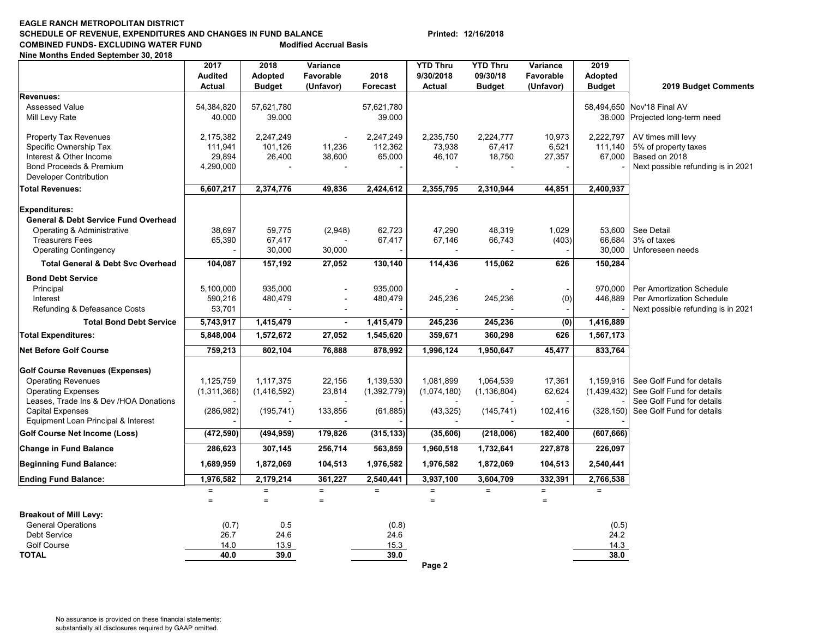### **EAGLE RANCH METROPOLITAN DISTRICTSCHEDULE OF REVENUE, EXPENDITURES AND CHANGES IN FUND BALANCE Printed: 12/16/2018 COMBINED FUNDS- EXCLUDING WATER FUND Modified Accrual Basis**

**Nine Months Ended September 30, 2018**

|                                                 | 2017           | 2018          | Variance       |                 | <b>YTD Thru</b> | <b>YTD Thru</b> | Variance         | 2019          |                                    |
|-------------------------------------------------|----------------|---------------|----------------|-----------------|-----------------|-----------------|------------------|---------------|------------------------------------|
|                                                 | <b>Audited</b> | Adopted       | Favorable      | 2018            | 9/30/2018       | 09/30/18        | Favorable        | Adopted       |                                    |
|                                                 | <b>Actual</b>  | <b>Budget</b> | (Unfavor)      | <b>Forecast</b> | Actual          | <b>Budget</b>   | (Unfavor)        | <b>Budget</b> | 2019 Budget Comments               |
| Revenues:                                       |                |               |                |                 |                 |                 |                  |               |                                    |
| <b>Assessed Value</b>                           | 54,384,820     | 57,621,780    |                | 57,621,780      |                 |                 |                  |               | 58,494,650 Nov'18 Final AV         |
| Mill Levy Rate                                  | 40.000         | 39.000        |                | 39.000          |                 |                 |                  |               | 38.000 Projected long-term need    |
| <b>Property Tax Revenues</b>                    | 2.175.382      | 2,247,249     |                | 2,247,249       | 2,235,750       | 2,224,777       | 10,973           | 2.222.797     | AV times mill levy                 |
| Specific Ownership Tax                          | 111,941        | 101,126       | 11,236         | 112,362         | 73,938          | 67,417          | 6,521            | 111,140       | 5% of property taxes               |
| Interest & Other Income                         | 29,894         | 26,400        | 38,600         | 65,000          | 46,107          | 18,750          | 27,357           | 67,000        | Based on 2018                      |
| Bond Proceeds & Premium                         | 4,290,000      |               |                |                 |                 |                 |                  |               | Next possible refunding is in 2021 |
| <b>Developer Contribution</b>                   |                |               |                |                 |                 |                 |                  |               |                                    |
| <b>Total Revenues:</b>                          | 6,607,217      | 2,374,776     | 49,836         | 2,424,612       | 2,355,795       | 2,310,944       | 44,851           | 2,400,937     |                                    |
| <b>Expenditures:</b>                            |                |               |                |                 |                 |                 |                  |               |                                    |
| <b>General &amp; Debt Service Fund Overhead</b> |                |               |                |                 |                 |                 |                  |               |                                    |
| Operating & Administrative                      | 38,697         | 59,775        | (2,948)        | 62,723          | 47,290          | 48,319          | 1,029            | 53.600        | See Detail                         |
| <b>Treasurers Fees</b>                          | 65,390         | 67,417        |                | 67,417          | 67,146          | 66,743          | (403)            | 66,684        | 3% of taxes                        |
| <b>Operating Contingency</b>                    |                | 30,000        | 30,000         |                 |                 |                 |                  | 30,000        | Unforeseen needs                   |
| <b>Total General &amp; Debt Svc Overhead</b>    | 104,087        | 157,192       | 27,052         | 130,140         | 114,436         | 115,062         | 626              | 150,284       |                                    |
| <b>Bond Debt Service</b>                        |                |               |                |                 |                 |                 |                  |               |                                    |
| Principal                                       | 5.100.000      | 935.000       |                | 935,000         |                 |                 |                  | 970.000       | Per Amortization Schedule          |
| Interest                                        | 590,216        | 480,479       |                | 480,479         | 245,236         | 245,236         | (0)              | 446,889       | Per Amortization Schedule          |
| Refunding & Defeasance Costs                    | 53,701         |               |                |                 |                 |                 |                  |               | Next possible refunding is in 2021 |
| <b>Total Bond Debt Service</b>                  | 5,743,917      | 1,415,479     | $\blacksquare$ | 1,415,479       | 245,236         | 245,236         | $\overline{(0)}$ | 1,416,889     |                                    |
| <b>Total Expenditures:</b>                      | 5,848,004      | 1,572,672     | 27,052         | 1,545,620       | 359,671         | 360,298         | 626              | 1,567,173     |                                    |
| Net Before Golf Course                          | 759,213        | 802,104       | 76,888         | 878,992         | 1,996,124       | 1,950,647       | 45,477           | 833,764       |                                    |
| <b>Golf Course Revenues (Expenses)</b>          |                |               |                |                 |                 |                 |                  |               |                                    |
| <b>Operating Revenues</b>                       | 1,125,759      | 1,117,375     | 22,156         | 1,139,530       | 1,081,899       | 1,064,539       | 17,361           | 1,159,916     | See Golf Fund for details          |
| <b>Operating Expenses</b>                       | (1,311,366)    | (1,416,592)   | 23,814         | (1,392,779)     | (1,074,180)     | (1, 136, 804)   | 62,624           | (1,439,432)   | See Golf Fund for details          |
| Leases, Trade Ins & Dev /HOA Donations          |                |               |                |                 |                 |                 |                  |               | See Golf Fund for details          |
| <b>Capital Expenses</b>                         | (286, 982)     | (195, 741)    | 133,856        | (61, 885)       | (43, 325)       | (145, 741)      | 102,416          | (328, 150)    | See Golf Fund for details          |
| Equipment Loan Principal & Interest             |                |               |                |                 |                 |                 |                  |               |                                    |
| <b>Golf Course Net Income (Loss)</b>            | (472, 590)     | (494, 959)    | 179,826        | (315, 133)      | (35, 606)       | (218,006)       | 182,400          | (607, 666)    |                                    |
| <b>Change in Fund Balance</b>                   | 286,623        | 307,145       | 256,714        | 563,859         | 1,960,518       | 1,732,641       | 227,878          | 226,097       |                                    |
| Beginning Fund Balance:                         | 1,689,959      | 1,872,069     | 104,513        | 1,976,582       | 1,976,582       | 1,872,069       | 104,513          | 2,540,441     |                                    |
| <b>Ending Fund Balance:</b>                     | 1,976,582      | 2,179,214     | 361,227        | 2,540,441       | 3,937,100       | 3,604,709       | 332,391          | 2,766,538     |                                    |
|                                                 | $\equiv$       | $=$           | $=$            | $=$             | $\equiv$        | $=$             | $=$              | $=$           |                                    |
|                                                 | $\equiv$       | $=$           | $\equiv$       |                 | $\equiv$        |                 | $\equiv$         |               |                                    |
| <b>Breakout of Mill Levy:</b>                   |                |               |                |                 |                 |                 |                  |               |                                    |
| <b>General Operations</b>                       | (0.7)          | 0.5           |                | (0.8)           |                 |                 |                  | (0.5)         |                                    |
| Debt Service                                    | 26.7           | 24.6          |                | 24.6            |                 |                 |                  | 24.2          |                                    |
| <b>Golf Course</b>                              | 14.0           | 13.9          |                | 15.3            |                 |                 |                  | 14.3          |                                    |
| <b>TOTAL</b>                                    | 40.0           | 39.0          |                | 39.0            |                 |                 |                  | 38.0          |                                    |
|                                                 |                |               |                |                 | Page 2          |                 |                  |               |                                    |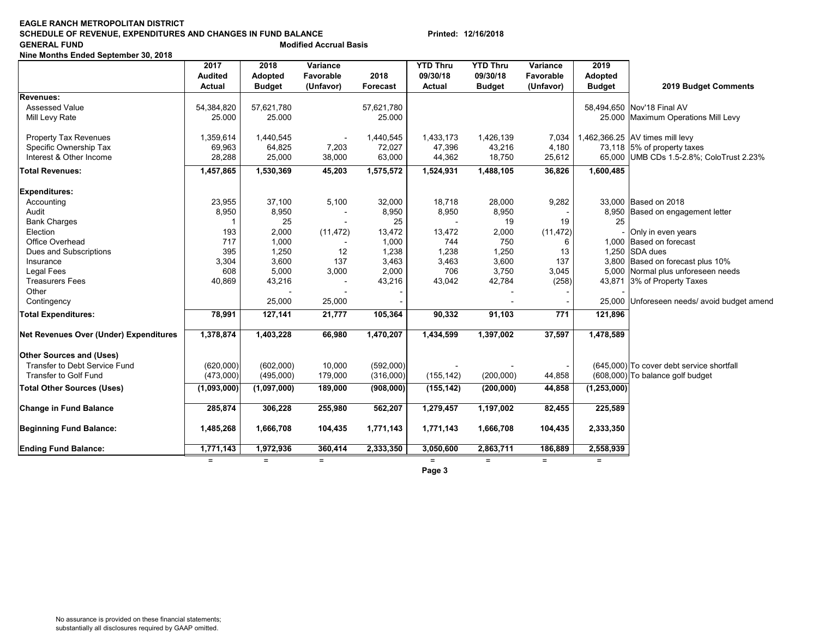### **EAGLE RANCH METROPOLITAN DISTRICTSCHEDULE OF REVENUE, EXPENDITURES AND CHANGES IN FUND BALANCE Printed: 12/16/2018 GENERAL FUND Modified Accrual Basis**

**Nine Months Ended September 30, 2018**

|                                               | 2017           | 2018          | Variance  |            | <b>YTD Thru</b> | <b>YTD Thru</b> | Variance         | 2019          |                                             |
|-----------------------------------------------|----------------|---------------|-----------|------------|-----------------|-----------------|------------------|---------------|---------------------------------------------|
|                                               | <b>Audited</b> | Adopted       | Favorable | 2018       | 09/30/18        | 09/30/18        | Favorable        | Adopted       |                                             |
|                                               | <b>Actual</b>  | <b>Budget</b> | (Unfavor) | Forecast   | Actual          | <b>Budget</b>   | (Unfavor)        | <b>Budget</b> | 2019 Budget Comments                        |
| Revenues:                                     |                |               |           |            |                 |                 |                  |               |                                             |
| <b>Assessed Value</b>                         | 54,384,820     | 57,621,780    |           | 57,621,780 |                 |                 |                  |               | 58,494,650 Nov'18 Final AV                  |
| Mill Levy Rate                                | 25.000         | 25.000        |           | 25.000     |                 |                 |                  |               | 25.000 Maximum Operations Mill Levy         |
| <b>Property Tax Revenues</b>                  | 1,359,614      | 1,440,545     |           | 1,440,545  | 1,433,173       | 1,426,139       | 7,034            |               | 1,462,366.25 AV times mill levy             |
| Specific Ownership Tax                        | 69,963         | 64,825        | 7,203     | 72,027     | 47,396          | 43,216          | 4,180            |               | 73,118 5% of property taxes                 |
| Interest & Other Income                       | 28,288         | 25,000        | 38,000    | 63,000     | 44,362          | 18,750          | 25,612           |               | 65,000 UMB CDs 1.5-2.8%; ColoTrust 2.23%    |
| <b>Total Revenues:</b>                        | 1,457,865      | 1,530,369     | 45,203    | 1,575,572  | 1,524,931       | 1,488,105       | 36,826           | 1,600,485     |                                             |
| <b>Expenditures:</b>                          |                |               |           |            |                 |                 |                  |               |                                             |
| Accounting                                    | 23,955         | 37,100        | 5,100     | 32,000     | 18,718          | 28,000          | 9,282            |               | 33,000 Based on 2018                        |
| Audit                                         | 8,950          | 8,950         |           | 8,950      | 8,950           | 8,950           |                  |               | 8,950 Based on engagement letter            |
| <b>Bank Charges</b>                           | -1             | 25            |           | 25         |                 | 19              | 19               | 25            |                                             |
| Election                                      | 193            | 2,000         | (11, 472) | 13,472     | 13,472          | 2,000           | (11, 472)        |               | Only in even years                          |
| Office Overhead                               | 717            | 1,000         |           | 1,000      | 744             | 750             | 6                |               | 1,000 Based on forecast                     |
| Dues and Subscriptions                        | 395            | 1,250         | 12        | 1,238      | 1,238           | 1,250           | 13               |               | 1,250 SDA dues                              |
| Insurance                                     | 3,304          | 3,600         | 137       | 3,463      | 3,463           | 3,600           | 137              |               | 3,800 Based on forecast plus 10%            |
| <b>Legal Fees</b>                             | 608            | 5,000         | 3,000     | 2,000      | 706             | 3,750           | 3,045            |               | 5,000 Normal plus unforeseen needs          |
| <b>Treasurers Fees</b>                        | 40,869         | 43,216        |           | 43,216     | 43,042          | 42,784          | (258)            |               | 43,871 3% of Property Taxes                 |
| Other                                         |                |               |           |            |                 |                 |                  |               |                                             |
| Contingency                                   |                | 25,000        | 25,000    |            |                 |                 |                  |               | 25,000 Unforeseen needs/ avoid budget amend |
| <b>Total Expenditures:</b>                    | 78,991         | 127,141       | 21,777    | 105,364    | 90,332          | 91,103          | $\overline{771}$ | 121,896       |                                             |
| <b>Net Revenues Over (Under) Expenditures</b> | 1,378,874      | 1,403,228     | 66,980    | 1,470,207  | 1,434,599       | 1,397,002       | 37,597           | 1,478,589     |                                             |
| <b>Other Sources and (Uses)</b>               |                |               |           |            |                 |                 |                  |               |                                             |
| Transfer to Debt Service Fund                 | (620,000)      | (602,000)     | 10,000    | (592,000)  |                 |                 |                  |               | (645,000) To cover debt service shortfall   |
| Transfer to Golf Fund                         | (473,000)      | (495,000)     | 179,000   | (316,000)  | (155, 142)      | (200,000)       | 44,858           |               | (608,000) To balance golf budget            |
| <b>Total Other Sources (Uses)</b>             | (1,093,000)    | (1,097,000)   | 189,000   | (908,000)  | (155, 142)      | (200, 000)      | 44,858           | (1, 253, 000) |                                             |
| Change in Fund Balance                        | 285,874        | 306,228       | 255,980   | 562,207    | 1,279,457       | 1,197,002       | 82,455           | 225,589       |                                             |
| <b>Beginning Fund Balance:</b>                | 1,485,268      | 1,666,708     | 104,435   | 1,771,143  | 1,771,143       | 1,666,708       | 104,435          | 2,333,350     |                                             |
| <b>Ending Fund Balance:</b>                   | 1,771,143      | 1,972,936     | 360,414   | 2,333,350  | 3,050,600       | 2,863,711       | 186,889          | 2,558,939     |                                             |
|                                               | $=$            | $=$           | $=$       |            | $=$             | $=$             | $=$              | $=$           |                                             |
|                                               |                |               |           |            | Page 3          |                 |                  |               |                                             |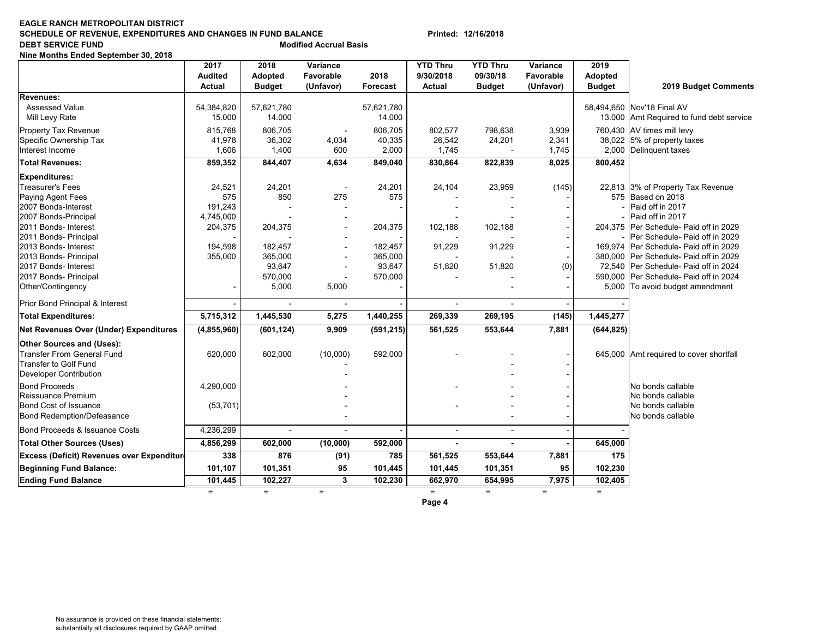#### **EAGLE RANCH METROPOLITAN DISTRICT SCHEDULE OF REVENUE, EXPENDITURES AND CHANGES IN FUND BALANCE Printed: 12/16/2018 DEBT SERVICE FUND**<br> **Modified Accrual Basis**

**Nine Months Ended September 30, 2018**

|                                               | 2017<br><b>Audited</b><br><b>Actual</b> | 2018<br>Adopted<br><b>Budget</b> | Variance<br>Favorable<br>(Unfavor) | 2018<br>Forecast     | <b>YTD Thru</b><br>9/30/2018<br><b>Actual</b> | YTD Thru<br>09/30/18<br><b>Budget</b> | Variance<br>Favorable<br>(Unfavor) | 2019<br>Adopted<br><b>Budget</b> | 2019 Budget Comments                                            |
|-----------------------------------------------|-----------------------------------------|----------------------------------|------------------------------------|----------------------|-----------------------------------------------|---------------------------------------|------------------------------------|----------------------------------|-----------------------------------------------------------------|
| Revenues:                                     |                                         |                                  |                                    |                      |                                               |                                       |                                    |                                  |                                                                 |
| <b>Assessed Value</b><br>Mill Levy Rate       | 54,384,820<br>15.000                    | 57,621,780<br>14.000             |                                    | 57,621,780<br>14.000 |                                               |                                       |                                    | 13.000                           | 58,494,650 Nov'18 Final AV<br>Amt Required to fund debt service |
| Property Tax Revenue                          | 815,768                                 | 806,705                          |                                    | 806,705              | 802,577                                       | 798,638                               | 3,939                              |                                  | 760,430 AV times mill levy                                      |
| Specific Ownership Tax                        | 41,978                                  | 36,302                           | 4,034                              | 40,335               | 26,542                                        | 24,201                                | 2,341                              |                                  | 38,022 5% of property taxes                                     |
| Interest Income                               | 1,606                                   | 1,400                            | 600                                | 2,000                | 1,745                                         |                                       | 1,745                              | 2,000                            | Delinquent taxes                                                |
| <b>Total Revenues:</b>                        | 859,352                                 | 844,407                          | 4,634                              | 849,040              | 830,864                                       | 822,839                               | 8,025                              | 800,452                          |                                                                 |
| <b>Expenditures:</b>                          |                                         |                                  |                                    |                      |                                               |                                       |                                    |                                  |                                                                 |
| Treasurer's Fees                              | 24,521                                  | 24,201                           | $\overline{\phantom{a}}$           | 24,201               | 24,104                                        | 23,959                                | (145)                              |                                  | 22,813 3% of Property Tax Revenue                               |
| Paying Agent Fees                             | 575                                     | 850                              | 275                                | 575                  |                                               |                                       |                                    | 575                              | Based on 2018                                                   |
| 2007 Bonds-Interest                           | 191,243                                 |                                  |                                    |                      |                                               |                                       |                                    |                                  | Paid off in 2017                                                |
| 2007 Bonds-Principal                          | 4,745,000                               |                                  | $\overline{a}$                     |                      |                                               |                                       |                                    |                                  | Paid off in 2017                                                |
| 2011 Bonds- Interest                          | 204,375                                 | 204,375                          |                                    | 204,375              | 102,188                                       | 102,188                               |                                    | 204,375                          | Per Schedule- Paid off in 2029                                  |
| 2011 Bonds- Principal                         |                                         |                                  |                                    |                      |                                               |                                       |                                    |                                  | Per Schedule- Paid off in 2029                                  |
| 2013 Bonds- Interest                          | 194,598                                 | 182,457                          |                                    | 182,457              | 91,229                                        | 91,229                                |                                    |                                  | 169,974 Per Schedule- Paid off in 2029                          |
| 2013 Bonds- Principal                         | 355,000                                 | 365,000                          | $\overline{a}$                     | 365,000              |                                               |                                       |                                    |                                  | 380,000 Per Schedule- Paid off in 2029                          |
| 2017 Bonds- Interest                          |                                         | 93,647                           |                                    | 93,647               | 51,820                                        | 51,820                                | (0)                                |                                  | 72,540 Per Schedule- Paid off in 2024                           |
| 2017 Bonds- Principal                         |                                         | 570,000                          |                                    | 570,000              |                                               |                                       |                                    |                                  | 590,000 Per Schedule- Paid off in 2024                          |
| Other/Contingency                             |                                         | 5,000                            | 5,000                              |                      |                                               |                                       |                                    | 5,000                            | To avoid budget amendment                                       |
| Prior Bond Principal & Interest               |                                         |                                  |                                    |                      | $\overline{a}$                                |                                       |                                    |                                  |                                                                 |
| <b>Total Expenditures:</b>                    | 5,715,312                               | 1,445,530                        | 5,275                              | 1,440,255            | 269,339                                       | 269,195                               | (145)                              | 1,445,277                        |                                                                 |
| <b>Net Revenues Over (Under) Expenditures</b> | (4,855,960)                             | (601, 124)                       | 9,909                              | (591, 215)           | 561,525                                       | 553,644                               | 7,881                              | (644, 825)                       |                                                                 |
| <b>Other Sources and (Uses):</b>              |                                         |                                  |                                    |                      |                                               |                                       |                                    |                                  |                                                                 |
| <b>Transfer From General Fund</b>             | 620,000                                 | 602,000                          | (10,000)                           | 592,000              |                                               |                                       |                                    |                                  | 645,000 Amt required to cover shortfall                         |
| <b>Transfer to Golf Fund</b>                  |                                         |                                  |                                    |                      |                                               |                                       |                                    |                                  |                                                                 |
| Developer Contribution                        |                                         |                                  |                                    |                      |                                               |                                       |                                    |                                  |                                                                 |
| <b>Bond Proceeds</b>                          | 4,290,000                               |                                  |                                    |                      |                                               |                                       |                                    |                                  | No bonds callable                                               |
| Reissuance Premium                            |                                         |                                  |                                    |                      |                                               |                                       |                                    |                                  | No bonds callable                                               |
| <b>Bond Cost of Issuance</b>                  | (53, 701)                               |                                  |                                    |                      |                                               |                                       |                                    |                                  | No bonds callable                                               |
| <b>Bond Redemption/Defeasance</b>             |                                         |                                  |                                    |                      |                                               |                                       |                                    |                                  | No bonds callable                                               |
| Bond Proceeds & Issuance Costs                | 4,236,299                               |                                  |                                    |                      |                                               |                                       |                                    |                                  |                                                                 |
| <b>Total Other Sources (Uses)</b>             | 4,856,299                               | 602,000                          | (10,000)                           | 592,000              |                                               |                                       |                                    | 645,000                          |                                                                 |
| Excess (Deficit) Revenues over Expenditure    | 338                                     | 876                              | (91)                               | 785                  | 561,525                                       | 553,644                               | 7,881                              | 175                              |                                                                 |
| <b>Beginning Fund Balance:</b>                | 101,107                                 | 101,351                          | 95                                 | 101,445              | 101,445                                       | 101,351                               | 95                                 | 102,230                          |                                                                 |
| <b>Ending Fund Balance</b>                    | 101,445                                 | 102,227                          | 3                                  | 102,230              | 662,970                                       | 654,995                               | 7,975                              | 102,405                          |                                                                 |
|                                               | $=$                                     | $=$                              | $=$                                |                      | $=$                                           | $=$                                   | $\equiv$                           | $\equiv$                         |                                                                 |

**Page 4**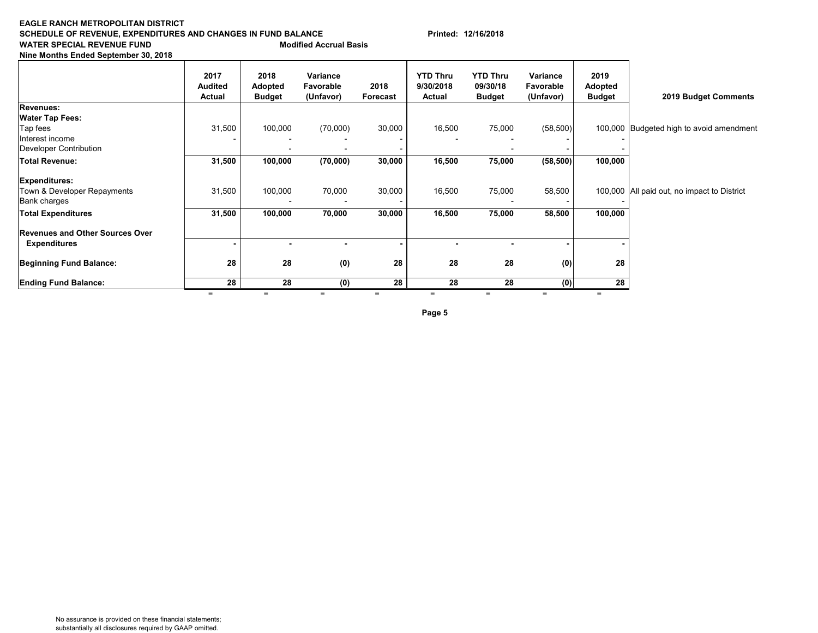### **EAGLE RANCH METROPOLITAN DISTRICTSCHEDULE OF REVENUE, EXPENDITURES AND CHANGES IN FUND BALANCE Printed: 12/16/2018 WATER SPECIAL REVENUE FUND**

**Nine Months Ended September 30, 2018**

|                                        | 2017<br><b>Audited</b><br><b>Actual</b> | 2018<br>Adopted<br><b>Budget</b> | Variance<br>Favorable<br>(Unfavor) | 2018<br>Forecast | <b>YTD Thru</b><br>9/30/2018<br>Actual | <b>YTD Thru</b><br>09/30/18<br><b>Budget</b> | Variance<br>Favorable<br>(Unfavor) | 2019<br>Adopted<br><b>Budget</b> | 2019 Budget Comments                        |
|----------------------------------------|-----------------------------------------|----------------------------------|------------------------------------|------------------|----------------------------------------|----------------------------------------------|------------------------------------|----------------------------------|---------------------------------------------|
| Revenues:                              |                                         |                                  |                                    |                  |                                        |                                              |                                    |                                  |                                             |
| <b>Water Tap Fees:</b>                 |                                         |                                  |                                    |                  |                                        |                                              |                                    |                                  |                                             |
| Tap fees                               | 31,500                                  | 100,000                          | (70,000)                           | 30,000           | 16,500                                 | 75,000                                       | (58,500)                           |                                  | 100,000 Budgeted high to avoid amendment    |
| Interest income                        |                                         |                                  |                                    |                  |                                        |                                              |                                    |                                  |                                             |
| <b>Developer Contribution</b>          |                                         | $\overline{\phantom{0}}$         | $\overline{\phantom{0}}$           |                  |                                        |                                              |                                    |                                  |                                             |
| Total Revenue:                         | 31,500                                  | 100,000                          | (70,000)                           | 30,000           | 16,500                                 | 75,000                                       | (58, 500)                          | 100,000                          |                                             |
| <b>Expenditures:</b>                   |                                         |                                  |                                    |                  |                                        |                                              |                                    |                                  |                                             |
| Town & Developer Repayments            | 31,500                                  | 100,000                          | 70,000                             | 30,000           | 16,500                                 | 75,000                                       | 58,500                             |                                  | 100,000 All paid out, no impact to District |
| <b>Bank charges</b>                    |                                         |                                  |                                    |                  |                                        |                                              |                                    |                                  |                                             |
| <b>Total Expenditures</b>              | 31,500                                  | 100,000                          | 70,000                             | 30,000           | 16,500                                 | 75,000                                       | 58,500                             | 100,000                          |                                             |
| <b>Revenues and Other Sources Over</b> |                                         |                                  |                                    |                  |                                        |                                              |                                    |                                  |                                             |
| <b>Expenditures</b>                    |                                         |                                  |                                    |                  |                                        |                                              |                                    |                                  |                                             |
| <b>Beginning Fund Balance:</b>         | 28                                      | 28                               | (0)                                | 28               | 28                                     | 28                                           | (0)                                | 28                               |                                             |
| <b>Ending Fund Balance:</b>            | 28                                      | 28                               | (0)                                | 28               | 28                                     | 28                                           | (0)                                | 28                               |                                             |

**Page 5**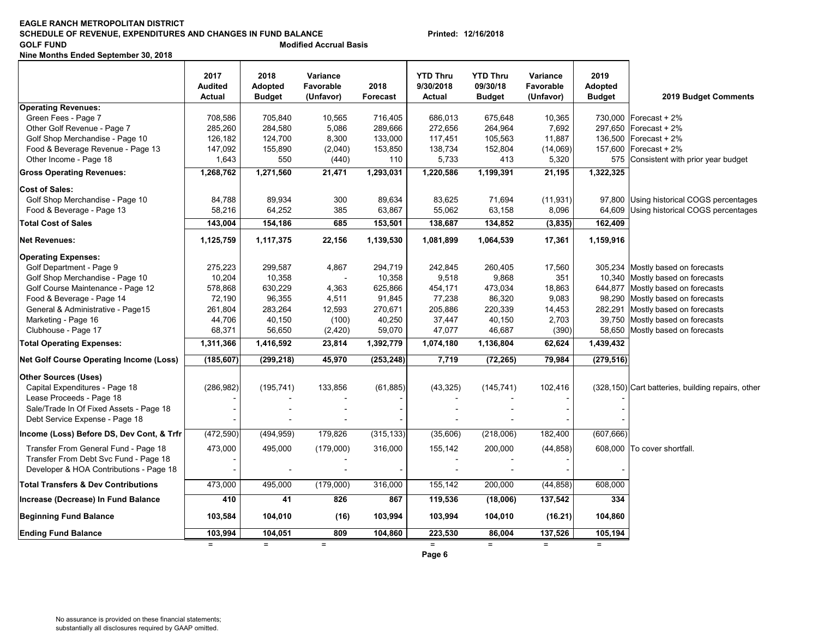### **EAGLE RANCH METROPOLITAN DISTRICTSCHEDULE OF REVENUE, EXPENDITURES AND CHANGES IN FUND BALANCE Printed: 12/16/2018 GOLF FUND Modified Accrual Basis**

**Nine Months Ended September 30, 2018**

|                                                | 2017<br><b>Audited</b><br>Actual | 2018<br><b>Adopted</b><br><b>Budget</b> | Variance<br>Favorable<br>(Unfavor) | 2018<br><b>Forecast</b> | <b>YTD Thru</b><br>9/30/2018<br>Actual | <b>YTD Thru</b><br>09/30/18<br><b>Budget</b> | Variance<br>Favorable<br>(Unfavor) | 2019<br><b>Adopted</b><br><b>Budget</b> | 2019 Budget Comments                              |
|------------------------------------------------|----------------------------------|-----------------------------------------|------------------------------------|-------------------------|----------------------------------------|----------------------------------------------|------------------------------------|-----------------------------------------|---------------------------------------------------|
| <b>Operating Revenues:</b>                     |                                  |                                         |                                    |                         |                                        |                                              |                                    |                                         |                                                   |
| Green Fees - Page 7                            | 708,586                          | 705,840                                 | 10,565                             | 716,405                 | 686,013                                | 675,648                                      | 10,365                             |                                         | 730,000   Forecast + 2%                           |
| Other Golf Revenue - Page 7                    | 285,260                          | 284,580                                 | 5,086                              | 289,666                 | 272,656                                | 264,964                                      | 7,692                              |                                         | 297.650 Forecast + 2%                             |
| Golf Shop Merchandise - Page 10                | 126,182                          | 124,700                                 | 8,300                              | 133,000                 | 117,451                                | 105,563                                      | 11,887                             |                                         | 136,500   Forecast + 2%                           |
| Food & Beverage Revenue - Page 13              | 147,092                          | 155,890                                 | (2,040)                            | 153,850                 | 138,734                                | 152,804                                      | (14,069)                           |                                         | 157,600   Forecast + 2%                           |
| Other Income - Page 18                         | 1,643                            | 550                                     | (440)                              | 110                     | 5,733                                  | 413                                          | 5,320                              |                                         | 575 Consistent with prior year budget             |
| <b>Gross Operating Revenues:</b>               | 1,268,762                        | 1,271,560                               | 21,471                             | 1,293,031               | 1,220,586                              | 1,199,391                                    | 21,195                             | 1,322,325                               |                                                   |
| <b>Cost of Sales:</b>                          |                                  |                                         |                                    |                         |                                        |                                              |                                    |                                         |                                                   |
| Golf Shop Merchandise - Page 10                | 84,788                           | 89,934                                  | 300                                | 89,634                  | 83,625                                 | 71,694                                       | (11, 931)                          |                                         | 97,800 Using historical COGS percentages          |
| Food & Beverage - Page 13                      | 58,216                           | 64,252                                  | 385                                | 63,867                  | 55,062                                 | 63,158                                       | 8,096                              |                                         | 64,609 Using historical COGS percentages          |
| <b>Total Cost of Sales</b>                     | 143,004                          | 154,186                                 | 685                                | 153,501                 | 138,687                                | 134,852                                      | (3,835)                            | 162,409                                 |                                                   |
| <b>Net Revenues:</b>                           | 1,125,759                        | 1,117,375                               | 22,156                             | 1,139,530               | 1,081,899                              | 1,064,539                                    | 17,361                             | 1,159,916                               |                                                   |
| <b>Operating Expenses:</b>                     |                                  |                                         |                                    |                         |                                        |                                              |                                    |                                         |                                                   |
| Golf Department - Page 9                       | 275,223                          | 299,587                                 | 4,867                              | 294,719                 | 242,845                                | 260,405                                      | 17,560                             |                                         | 305,234 Mostly based on forecasts                 |
| Golf Shop Merchandise - Page 10                | 10,204                           | 10,358                                  | $\overline{a}$                     | 10,358                  | 9,518                                  | 9,868                                        | 351                                |                                         | 10,340 Mostly based on forecasts                  |
| Golf Course Maintenance - Page 12              | 578,868                          | 630,229                                 | 4,363                              | 625,866                 | 454,171                                | 473,034                                      | 18,863                             |                                         | 644,877 Mostly based on forecasts                 |
| Food & Beverage - Page 14                      | 72,190                           | 96,355                                  | 4,511                              | 91,845                  | 77,238                                 | 86,320                                       | 9,083                              |                                         | 98,290 Mostly based on forecasts                  |
| General & Administrative - Page15              | 261,804                          | 283,264                                 | 12,593                             | 270,671                 | 205,886                                | 220,339                                      | 14,453                             | 282,291                                 | Mostly based on forecasts                         |
| Marketing - Page 16                            | 44,706                           | 40,150                                  | (100)                              | 40,250                  | 37,447                                 | 40,150                                       | 2,703                              |                                         | 39,750 Mostly based on forecasts                  |
| Clubhouse - Page 17                            | 68,371                           | 56,650                                  | (2, 420)                           | 59,070                  | 47,077                                 | 46,687                                       | (390)                              |                                         | 58,650 Mostly based on forecasts                  |
| <b>Total Operating Expenses:</b>               | 1,311,366                        | 1,416,592                               | 23,814                             | 1,392,779               | 1,074,180                              | 1,136,804                                    | 62,624                             | 1,439,432                               |                                                   |
| <b>Net Golf Course Operating Income (Loss)</b> | (185, 607)                       | (299, 218)                              | 45,970                             | (253, 248)              | 7,719                                  | (72, 265)                                    | 79,984                             | (279, 516)                              |                                                   |
| <b>Other Sources (Uses)</b>                    |                                  |                                         |                                    |                         |                                        |                                              |                                    |                                         |                                                   |
| Capital Expenditures - Page 18                 | (286, 982)                       | (195, 741)                              | 133,856                            | (61, 885)               | (43, 325)                              | (145, 741)                                   | 102,416                            |                                         | (328,150) Cart batteries, building repairs, other |
| Lease Proceeds - Page 18                       |                                  |                                         |                                    |                         |                                        |                                              |                                    |                                         |                                                   |
| Sale/Trade In Of Fixed Assets - Page 18        |                                  |                                         |                                    |                         |                                        |                                              |                                    |                                         |                                                   |
| Debt Service Expense - Page 18                 |                                  |                                         |                                    |                         |                                        |                                              |                                    |                                         |                                                   |
| Income (Loss) Before DS, Dev Cont, & Trfr      | (472, 590)                       | (494, 959)                              | 179,826                            | (315, 133)              | (35,606)                               | (218,006)                                    | 182,400                            | (607, 666)                              |                                                   |
| Transfer From General Fund - Page 18           | 473,000                          | 495,000                                 | (179,000)                          | 316,000                 | 155,142                                | 200,000                                      | (44, 858)                          |                                         | 608,000 To cover shortfall.                       |
| Transfer From Debt Svc Fund - Page 18          |                                  |                                         |                                    |                         |                                        |                                              |                                    |                                         |                                                   |
| Developer & HOA Contributions - Page 18        |                                  | $\blacksquare$                          | $\blacksquare$                     |                         | $\overline{a}$                         |                                              |                                    |                                         |                                                   |
| <b>Total Transfers &amp; Dev Contributions</b> | 473,000                          | 495.000                                 | (179,000)                          | 316,000                 | 155,142                                | 200,000                                      | (44, 858)                          | 608,000                                 |                                                   |
| Increase (Decrease) In Fund Balance            | 410                              | 41                                      | 826                                | 867                     | 119,536                                | (18,006)                                     | 137,542                            | 334                                     |                                                   |
| <b>Beginning Fund Balance</b>                  | 103,584                          | 104,010                                 | (16)                               | 103,994                 | 103,994                                | 104,010                                      | (16.21)                            | 104,860                                 |                                                   |
| <b>Ending Fund Balance</b>                     | 103,994                          | 104,051                                 | 809                                | 104,860                 | 223,530                                | 86,004                                       | 137,526                            | 105,194                                 |                                                   |
|                                                | $=$                              | $=$                                     | $=$                                |                         | $=$                                    | $=$                                          | $=$                                | $=$                                     |                                                   |
|                                                |                                  |                                         |                                    |                         | Page 6                                 |                                              |                                    |                                         |                                                   |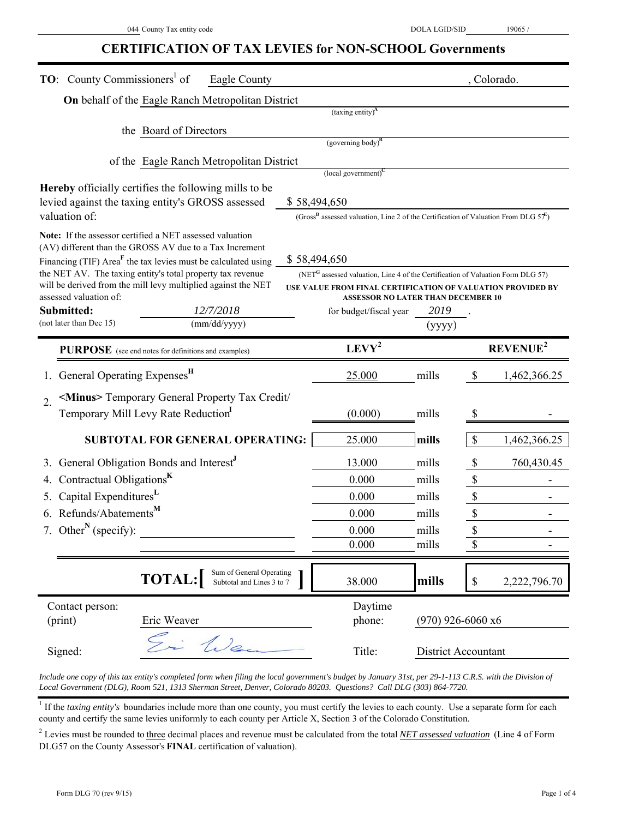# **CERTIFICATION OF TAX LEVIES for NON-SCHOOL Governments**

| <b>TO:</b> County Commissioners <sup>1</sup> of                                                                                      | Eagle County              |                                                                                                    |                     | , Colorado.               |                            |
|--------------------------------------------------------------------------------------------------------------------------------------|---------------------------|----------------------------------------------------------------------------------------------------|---------------------|---------------------------|----------------------------|
| On behalf of the Eagle Ranch Metropolitan District                                                                                   |                           |                                                                                                    |                     |                           |                            |
|                                                                                                                                      |                           | $(taxing entity)^{A}$                                                                              |                     |                           |                            |
| the Board of Directors                                                                                                               |                           | (governing body) $B$                                                                               |                     |                           |                            |
|                                                                                                                                      |                           |                                                                                                    |                     |                           |                            |
| of the Eagle Ranch Metropolitan District                                                                                             |                           | $\left($ local government $\right)^C$                                                              |                     |                           |                            |
| <b>Hereby</b> officially certifies the following mills to be                                                                         |                           |                                                                                                    |                     |                           |                            |
| levied against the taxing entity's GROSS assessed                                                                                    |                           | \$58,494,650                                                                                       |                     |                           |                            |
| valuation of:                                                                                                                        |                           | (Gross <sup>D</sup> assessed valuation, Line 2 of the Certification of Valuation From DLG $57^E$ ) |                     |                           |                            |
| Note: If the assessor certified a NET assessed valuation                                                                             |                           |                                                                                                    |                     |                           |                            |
| (AV) different than the GROSS AV due to a Tax Increment<br>Financing (TIF) Area <sup>F</sup> the tax levies must be calculated using |                           | \$58,494,650                                                                                       |                     |                           |                            |
| the NET AV. The taxing entity's total property tax revenue                                                                           |                           | (NET <sup>G</sup> assessed valuation, Line 4 of the Certification of Valuation Form DLG 57)        |                     |                           |                            |
| will be derived from the mill levy multiplied against the NET                                                                        |                           | USE VALUE FROM FINAL CERTIFICATION OF VALUATION PROVIDED BY                                        |                     |                           |                            |
| assessed valuation of:<br>Submitted:                                                                                                 | 12/7/2018                 | <b>ASSESSOR NO LATER THAN DECEMBER 10</b><br>for budget/fiscal year                                | 2019                |                           |                            |
| (not later than Dec 15)                                                                                                              | (mm/dd/yyyy)              |                                                                                                    | (yyyy)              |                           |                            |
| PURPOSE (see end notes for definitions and examples)                                                                                 |                           | $LEVY^2$                                                                                           |                     |                           | <b>REVENUE<sup>2</sup></b> |
|                                                                                                                                      |                           |                                                                                                    |                     |                           |                            |
| General Operating Expenses <sup>H</sup>                                                                                              |                           | 25.000                                                                                             | mills               | $\boldsymbol{\mathsf{S}}$ | 1,462,366.25               |
| <minus> Temporary General Property Tax Credit/<br/><math>\overline{2}</math>.</minus>                                                |                           |                                                                                                    |                     |                           |                            |
| Temporary Mill Levy Rate Reduction                                                                                                   |                           | (0.000)                                                                                            | mills               | \$                        |                            |
| <b>SUBTOTAL FOR GENERAL OPERATING:</b>                                                                                               |                           | 25.000                                                                                             | mills               | \$                        | 1,462,366.25               |
| General Obligation Bonds and Interest <sup>J</sup>                                                                                   |                           | 13.000                                                                                             | mills               | $\boldsymbol{\mathsf{S}}$ | 760,430.45                 |
| Contractual Obligations <sup>K</sup>                                                                                                 |                           | 0.000                                                                                              | mills               | $\boldsymbol{\mathsf{S}}$ |                            |
| Capital Expenditures <sup>L</sup><br>5.                                                                                              |                           | 0.000                                                                                              | mills               | $\boldsymbol{\mathsf{S}}$ |                            |
| Refunds/Abatements <sup>M</sup><br>6.                                                                                                |                           | 0.000                                                                                              | mills               | $\boldsymbol{\mathsf{S}}$ |                            |
| 7. Other <sup>N</sup> (specify):                                                                                                     |                           | 0.000                                                                                              | mills               | \$                        |                            |
|                                                                                                                                      |                           | 0.000                                                                                              | mills               | $\mathbb{S}$              |                            |
|                                                                                                                                      | Sum of General Operating  |                                                                                                    |                     |                           |                            |
| <b>TOTAL:</b>                                                                                                                        | Subtotal and Lines 3 to 7 | 38.000                                                                                             | mills               | \$                        | 2,222,796.70               |
| Contact person:                                                                                                                      |                           | Daytime                                                                                            |                     |                           |                            |
| Eric Weaver<br>(print)                                                                                                               |                           | phone:                                                                                             | $(970)$ 926-6060 x6 |                           |                            |
| Signed:                                                                                                                              | i Wen                     | Title:                                                                                             | District Accountant |                           |                            |

*Include one copy of this tax entity's completed form when filing the local government's budget by January 31st, per 29-1-113 C.R.S. with the Division of Local Government (DLG), Room 521, 1313 Sherman Street, Denver, Colorado 80203. Questions? Call DLG (303) 864-7720.*

<sup>1</sup> If the *taxing entity's* boundaries include more than one county, you must certify the levies to each county. Use a separate form for each county and certify the same levies uniformly to each county per Article X, Section 3 of the Colorado Constitution.

2 Levies must be rounded to three decimal places and revenue must be calculated from the total *NET assessed valuation* (Line 4 of Form DLG57 on the County Assessor's **FINAL** certification of valuation).